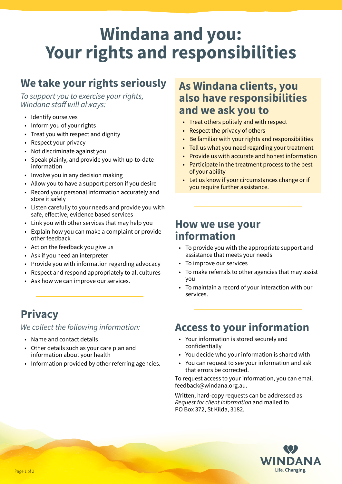# **Windana and you: Your rights and responsibilities**

## **We take your rights seriously**

*To support you to exercise your rights, Windana staff will always:*

- Identify ourselves
- Inform you of your rights
- Treat you with respect and dignity
- Respect your privacy
- Not discriminate against you
- Speak plainly, and provide you with up-to-date information
- Involve you in any decision making
- Allow you to have a support person if you desire
- Record your personal information accurately and store it safely
- Listen carefully to your needs and provide you with safe, effective, evidence based services
- Link you with other services that may help you
- Explain how you can make a complaint or provide other feedback
- Act on the feedback you give us
- Ask if you need an interpreter
- Provide you with information regarding advocacy
- Respect and respond appropriately to all cultures
- Ask how we can improve our services.

## **Privacy**

#### *We collect the following information:*

- Name and contact details
- Other details such as your care plan and information about your health
- Information provided by other referring agencies.

## **As Windana clients, you also have responsibilities and we ask you to**

- Treat others politely and with respect
- Respect the privacy of others
- Be familiar with your rights and responsibilities
- Tell us what you need regarding your treatment
- Provide us with accurate and honest information
- Participate in the treatment process to the best of your ability
- Let us know if your circumstances change or if you require further assistance.

### **How we use your information**

- To provide you with the appropriate support and assistance that meets your needs
- To improve our services
- To make referrals to other agencies that may assist you
- To maintain a record of your interaction with our services.

## **Access to your information**

- Your information is stored securely and confidentially
- You decide who your information is shared with
- You can request to see your information and ask that errors be corrected.

To request access to your information, you can email feedback@windana.org.au.

Written, hard-copy requests can be addressed as *Request for client information* and mailed to PO Box 372, St Kilda, 3182.